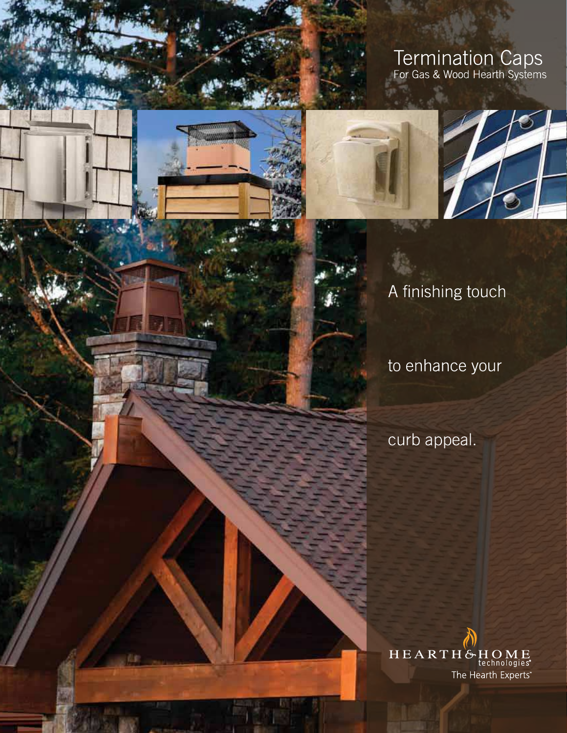# Termination Caps<br>For Gas & Wood Hearth Systems







A finishing touch

to enhance your

curb appeal.

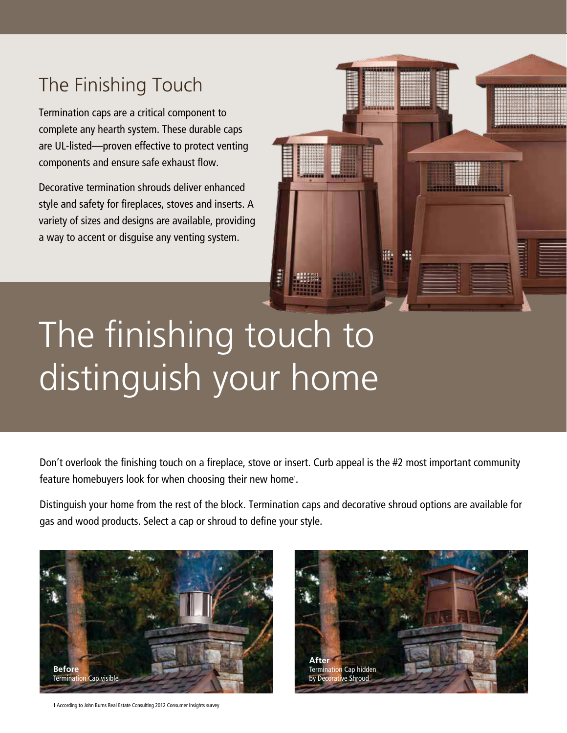# The Finishing Touch

Termination caps are a critical component to complete any hearth system. These durable caps are UL-listed—proven effective to protect venting components and ensure safe exhaust flow.

Decorative termination shrouds deliver enhanced style and safety for fireplaces, stoves and inserts. A variety of sizes and designs are available, providing a way to accent or disguise any venting system.



# The finishing touch to distinguish your home

Don't overlook the finishing touch on a fireplace, stove or insert. Curb appeal is the #2 most important community feature homebuyers look for when choosing their new home'.

Distinguish your home from the rest of the block. Termination caps and decorative shroud options are available for gas and wood products. Select a cap or shroud to define your style.



1 According to John Burns Real Estate Consulting 2012 Consumer Insights survey

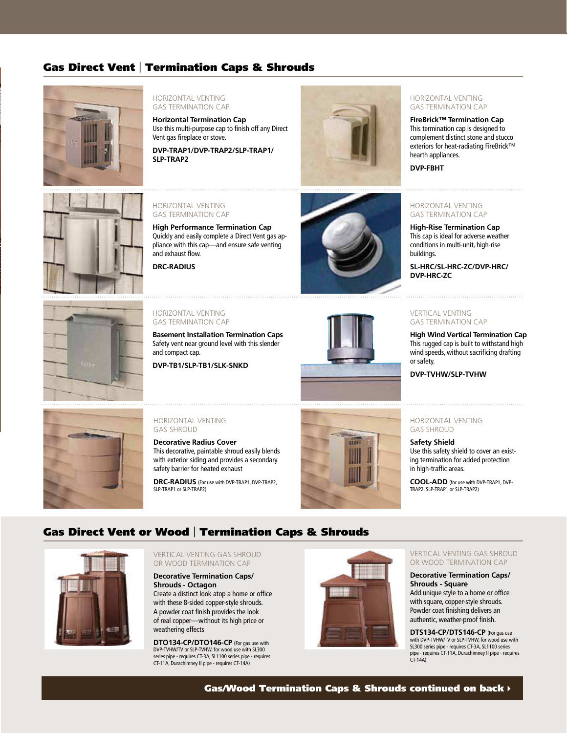## Gas Direct Vent | Termination Caps & Shrouds



#### HORIZONTAL VENTING GAS TERMINATION CAP

**Horizontal Termination Cap** Use this multi-purpose cap to finish off any Direct Vent gas fireplace or stove.

**DVP-TRAP1/DVP-TRAP2/SLP-TRAP1/ SLP-TRAP2**



#### HORIZONTAL VENTING GAS TERMINATION CAP

**FireBrick™ Termination Cap**  This termination cap is designed to complement distinct stone and stucco exteriors for heat-radiating FireBrick™ hearth appliances.

**DVP-FBHT**



#### HORIZONTAL VENTING GAS TERMINATION CAP

**High Performance Termination Cap** Quickly and easily complete a Direct Vent gas appliance with this cap—and ensure safe venting and exhaust flow.

**DRC-RADIUS**



#### HORIZONTAL VENTING GAS TERMINATION CAP

**High-Rise Termination Cap**  This cap is ideal for adverse weather conditions in multi-unit, high-rise buildings.

**SL-HRC/SL-HRC-ZC/DVP-HRC/ DVP-HRC-ZC** 



#### HORIZONTAL VENTING GAS TERMINATION CAP

**Basement Installation Termination Caps** Safety vent near ground level with this slender and compact cap.

**DVP-TB1/SLP-TB1/SLK-SNKD**



#### VERTICAL VENTING GAS TERMINATION CAP

**High Wind Vertical Termination Cap** This rugged cap is built to withstand high wind speeds, without sacrificing drafting or safety.

**DVP-TVHW/SLP-TVHW**



#### HORIZONTAL VENTING GAS SHROUD

**Decorative Radius Cover** This decorative, paintable shroud easily blends with exterior siding and provides a secondary safety barrier for heated exhaust

**DRC-RADIUS** (For use with DVP-TRAP1, DVP-TRAP2, SLP-TRAP1 or SLP-TRAP2)



#### HORIZONTAL VENTING GAS SHROUD

**Safety Shield**

Use this safety shield to cover an existing termination for added protection in high-traffic areas.

**COOL-ADD** (for use with DVP-TRAP1, DVP-TRAP2, SLP-TRAP1 or SLP-TRAP2)

### Gas Direct Vent or Wood | Termination Caps & Shrouds



VERTICAL VENTING GAS SHROUD OR WOOD TERMINATION CAP

**Decorative Termination Caps/ Shrouds - Octagon** Create a distinct look atop a home or office with these 8-sided copper-style shrouds. A powder coat finish provides the look of real copper—without its high price or weathering effects

**DTO134-CP/DTO146-CP** (For gas use with DVP-TVHW/TV or SLP-TVHW, for wood use with SL300 series pipe - requires CT-3A, SL1100 series pipe - requires CT-11A, Durachimney II pipe - requires CT-14A)



VERTICAL VENTING GAS SHROUD OR WOOD TERMINATION CAP

**Decorative Termination Caps/ Shrouds - Square** Add unique style to a home or office with square, copper-style shrouds. Powder coat finishing delivers an authentic, weather-proof finish.

**DTS134-CP/DTS146-CP** (For gas use with DVP-TVHW/TV or SLP-TVHW, for wood use with SL300 series pipe - requires CT-3A, SL1100 series pipe - requires CT-11A, Durachimney II pipe - requires CT-14A)

Gas/Wood Termination Caps & Shrouds continued on back  $\rightarrow$